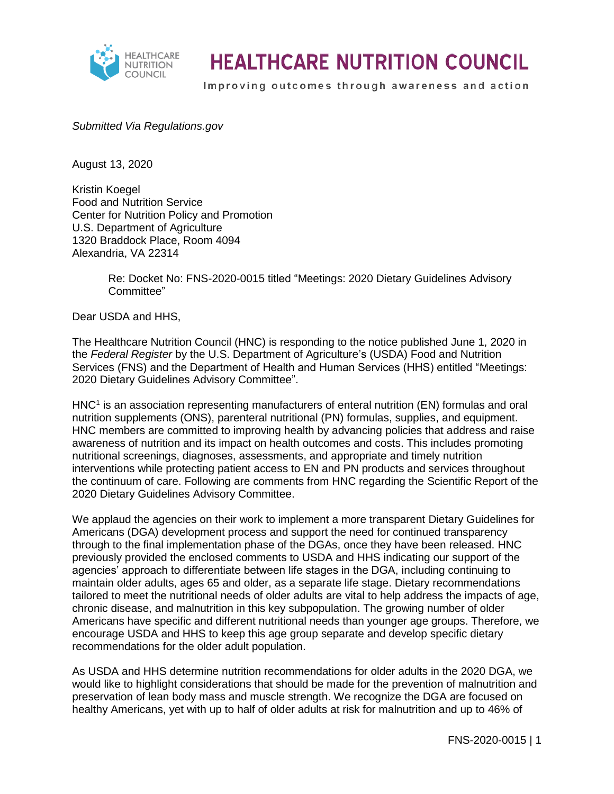

## **HEALTHCARE NUTRITION COUNCIL**

Improving outcomes through awareness and action

#### *Submitted Via Regulations.gov*

August 13, 2020

Kristin Koegel Food and Nutrition Service Center for Nutrition Policy and Promotion U.S. Department of Agriculture 1320 Braddock Place, Room 4094 Alexandria, VA 22314

> Re: Docket No: FNS-2020-0015 titled "Meetings: 2020 Dietary Guidelines Advisory Committee"

Dear USDA and HHS,

The Healthcare Nutrition Council (HNC) is responding to the notice published June 1, 2020 in the *Federal Register* by the U.S. Department of Agriculture's (USDA) Food and Nutrition Services (FNS) and the Department of Health and Human Services (HHS) entitled "Meetings: 2020 Dietary Guidelines Advisory Committee".

 $HNC<sup>1</sup>$  is an association representing manufacturers of enteral nutrition (EN) formulas and oral nutrition supplements (ONS), parenteral nutritional (PN) formulas, supplies, and equipment. HNC members are committed to improving health by advancing policies that address and raise awareness of nutrition and its impact on health outcomes and costs. This includes promoting nutritional screenings, diagnoses, assessments, and appropriate and timely nutrition interventions while protecting patient access to EN and PN products and services throughout the continuum of care. Following are comments from HNC regarding the Scientific Report of the 2020 Dietary Guidelines Advisory Committee.

We applaud the agencies on their work to implement a more transparent Dietary Guidelines for Americans (DGA) development process and support the need for continued transparency through to the final implementation phase of the DGAs, once they have been released. HNC previously provided the enclosed comments to USDA and HHS indicating our support of the agencies' approach to differentiate between life stages in the DGA, including continuing to maintain older adults, ages 65 and older, as a separate life stage. Dietary recommendations tailored to meet the nutritional needs of older adults are vital to help address the impacts of age, chronic disease, and malnutrition in this key subpopulation. The growing number of older Americans have specific and different nutritional needs than younger age groups. Therefore, we encourage USDA and HHS to keep this age group separate and develop specific dietary recommendations for the older adult population.

As USDA and HHS determine nutrition recommendations for older adults in the 2020 DGA, we would like to highlight considerations that should be made for the prevention of malnutrition and preservation of lean body mass and muscle strength. We recognize the DGA are focused on healthy Americans, yet with up to half of older adults at risk for malnutrition and up to 46% of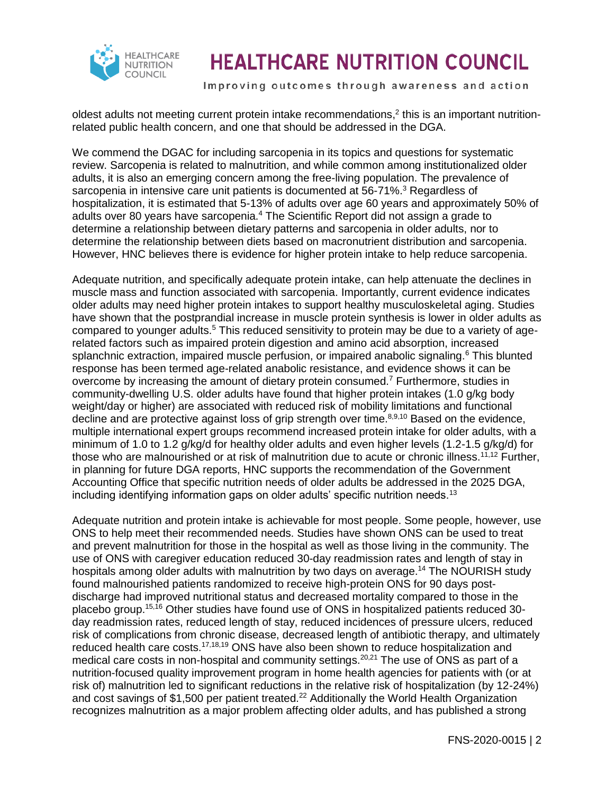

# **HEALTHCARE NUTRITION COUNCIL**

Improving outcomes through awareness and action

oldest adults not meeting current protein intake recommendations,<sup>2</sup> this is an important nutritionrelated public health concern, and one that should be addressed in the DGA.

We commend the DGAC for including sarcopenia in its topics and questions for systematic review. Sarcopenia is related to malnutrition, and while common among institutionalized older adults, it is also an emerging concern among the free-living population. The prevalence of sarcopenia in intensive care unit patients is documented at 56-71%.<sup>3</sup> Regardless of hospitalization, it is estimated that 5-13% of adults over age 60 years and approximately 50% of adults over 80 years have sarcopenia.<sup>4</sup> The Scientific Report did not assign a grade to determine a relationship between dietary patterns and sarcopenia in older adults, nor to determine the relationship between diets based on macronutrient distribution and sarcopenia. However, HNC believes there is evidence for higher protein intake to help reduce sarcopenia.

Adequate nutrition, and specifically adequate protein intake, can help attenuate the declines in muscle mass and function associated with sarcopenia. Importantly, current evidence indicates older adults may need higher protein intakes to support healthy musculoskeletal aging. Studies have shown that the postprandial increase in muscle protein synthesis is lower in older adults as compared to younger adults.<sup>5</sup> This reduced sensitivity to protein may be due to a variety of agerelated factors such as impaired protein digestion and amino acid absorption, increased splanchnic extraction, impaired muscle perfusion, or impaired anabolic signaling.<sup>6</sup> This blunted response has been termed age-related anabolic resistance, and evidence shows it can be overcome by increasing the amount of dietary protein consumed.<sup>7</sup> Furthermore, studies in community-dwelling U.S. older adults have found that higher protein intakes (1.0 g/kg body weight/day or higher) are associated with reduced risk of mobility limitations and functional decline and are protective against loss of grip strength over time. $8,9,10$  Based on the evidence, multiple international expert groups recommend increased protein intake for older adults, with a minimum of 1.0 to 1.2 g/kg/d for healthy older adults and even higher levels (1.2-1.5 g/kg/d) for those who are malnourished or at risk of malnutrition due to acute or chronic illness.<sup>11,12</sup> Further, in planning for future DGA reports, HNC supports the recommendation of the Government Accounting Office that specific nutrition needs of older adults be addressed in the 2025 DGA, including identifying information gaps on older adults' specific nutrition needs.<sup>13</sup>

Adequate nutrition and protein intake is achievable for most people. Some people, however, use ONS to help meet their recommended needs. Studies have shown ONS can be used to treat and prevent malnutrition for those in the hospital as well as those living in the community. The use of ONS with caregiver education reduced 30-day readmission rates and length of stay in hospitals among older adults with malnutrition by two days on average.<sup>14</sup> The NOURISH study found malnourished patients randomized to receive high-protein ONS for 90 days postdischarge had improved nutritional status and decreased mortality compared to those in the placebo group.15,16 Other studies have found use of ONS in hospitalized patients reduced 30 day readmission rates, reduced length of stay, reduced incidences of pressure ulcers, reduced risk of complications from chronic disease, decreased length of antibiotic therapy, and ultimately reduced health care costs.<sup>17,18,19</sup> ONS have also been shown to reduce hospitalization and medical care costs in non-hospital and community settings.<sup>20,21</sup> The use of ONS as part of a nutrition-focused quality improvement program in home health agencies for patients with (or at risk of) malnutrition led to significant reductions in the relative risk of hospitalization (by 12-24%) and cost savings of \$1,500 per patient treated.<sup>22</sup> Additionally the World Health Organization recognizes malnutrition as a major problem affecting older adults, and has published a strong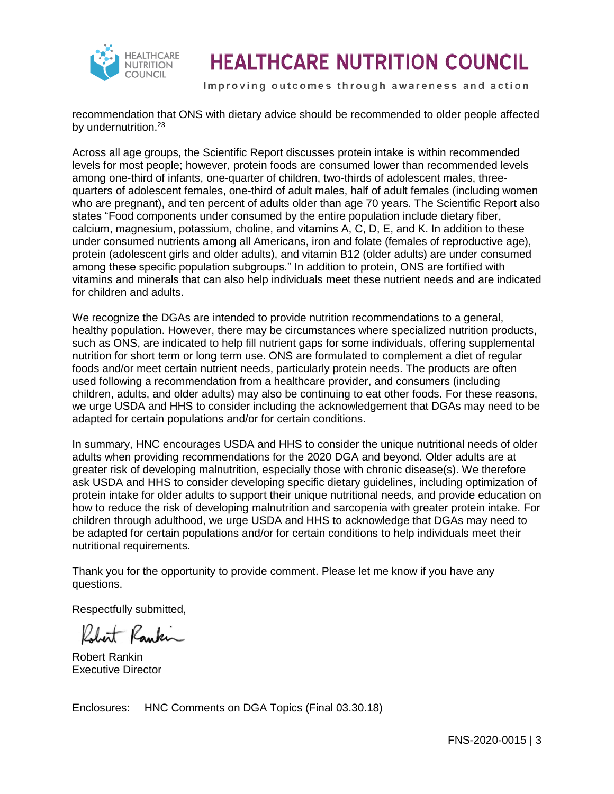

# **HEALTHCARE NUTRITION COUNCIL**

Improving outcomes through awareness and action

recommendation that ONS with dietary advice should be recommended to older people affected by undernutrition.<sup>23</sup>

Across all age groups, the Scientific Report discusses protein intake is within recommended levels for most people; however, protein foods are consumed lower than recommended levels among one-third of infants, one-quarter of children, two-thirds of adolescent males, threequarters of adolescent females, one-third of adult males, half of adult females (including women who are pregnant), and ten percent of adults older than age 70 years. The Scientific Report also states "Food components under consumed by the entire population include dietary fiber, calcium, magnesium, potassium, choline, and vitamins A, C, D, E, and K. In addition to these under consumed nutrients among all Americans, iron and folate (females of reproductive age), protein (adolescent girls and older adults), and vitamin B12 (older adults) are under consumed among these specific population subgroups." In addition to protein, ONS are fortified with vitamins and minerals that can also help individuals meet these nutrient needs and are indicated for children and adults.

We recognize the DGAs are intended to provide nutrition recommendations to a general, healthy population. However, there may be circumstances where specialized nutrition products, such as ONS, are indicated to help fill nutrient gaps for some individuals, offering supplemental nutrition for short term or long term use. ONS are formulated to complement a diet of regular foods and/or meet certain nutrient needs, particularly protein needs. The products are often used following a recommendation from a healthcare provider, and consumers (including children, adults, and older adults) may also be continuing to eat other foods. For these reasons, we urge USDA and HHS to consider including the acknowledgement that DGAs may need to be adapted for certain populations and/or for certain conditions.

In summary, HNC encourages USDA and HHS to consider the unique nutritional needs of older adults when providing recommendations for the 2020 DGA and beyond. Older adults are at greater risk of developing malnutrition, especially those with chronic disease(s). We therefore ask USDA and HHS to consider developing specific dietary guidelines, including optimization of protein intake for older adults to support their unique nutritional needs, and provide education on how to reduce the risk of developing malnutrition and sarcopenia with greater protein intake. For children through adulthood, we urge USDA and HHS to acknowledge that DGAs may need to be adapted for certain populations and/or for certain conditions to help individuals meet their nutritional requirements.

Thank you for the opportunity to provide comment. Please let me know if you have any questions.

Respectfully submitted,

Robert Rankin

Robert Rankin Executive Director

Enclosures: HNC Comments on DGA Topics (Final 03.30.18)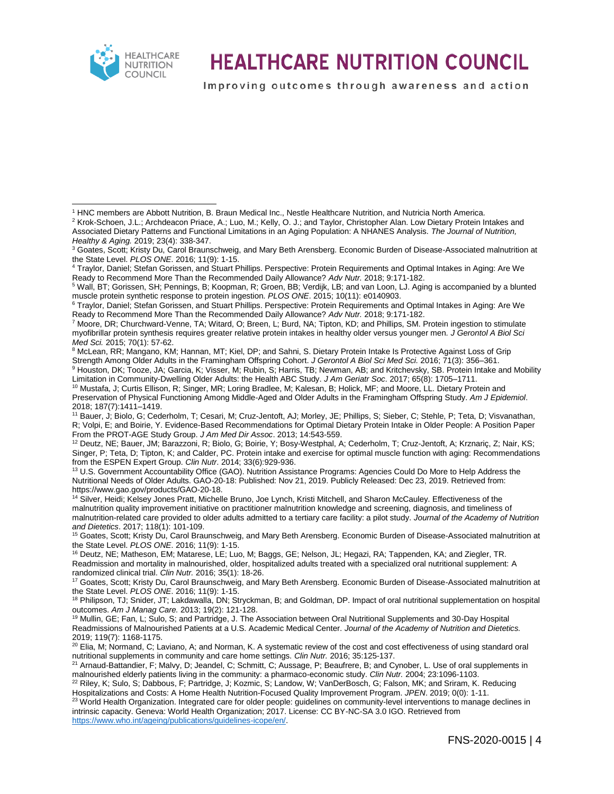

 $\overline{a}$ 

### **HEALTHCARE NUTRITION COUNCIL**

Improving outcomes through awareness and action

<sup>2</sup> Krok-Schoen, J.L.; Archdeacon Priace, A.; Luo, M.; Kelly, O. J.; and Taylor, Christopher Alan. Low Dietary Protein Intakes and Associated Dietary Patterns and Functional Limitations in an Aging Population: A NHANES Analysis. *The Journal of Nutrition, Healthy & Aging.* 2019; 23(4): 338-347.

<sup>3</sup> Goates, Scott; Kristy Du, Carol Braunschweig, and Mary Beth Arensberg. Economic Burden of Disease-Associated malnutrition at the State Level. *PLOS ONE*. 2016; 11(9): 1-15.

<sup>4</sup> Traylor, Daniel; Stefan Gorissen, and Stuart Phillips. Perspective: Protein Requirements and Optimal Intakes in Aging: Are We Ready to Recommend More Than the Recommended Daily Allowance? *Adv Nutr.* 2018; 9:171-182.

<sup>5</sup> Wall, BT; Gorissen, SH; Pennings, B; Koopman, R; Groen, BB; Verdijk, LB; and van Loon, LJ. Aging is accompanied by a blunted muscle protein synthetic response to protein ingestion. *PLOS ONE*. 2015; 10(11): e0140903.

<sup>8</sup> McLean, RR; Mangano, KM; Hannan, MT; Kiel, DP; and Sahni, S. Dietary Protein Intake Is Protective Against Loss of Grip Strength Among Older Adults in the Framingham Offspring Cohort. *J Gerontol A Biol Sci Med Sci.* 2016; 71(3): 356–361.

9 Houston, DK; Tooze, JA; Garcia, K; Visser, M; Rubin, S; Harris, TB; Newman, AB; and Kritchevsky, SB. Protein Intake and Mobility Limitation in Community-Dwelling Older Adults: the Health ABC Study. *J Am Geriatr Soc*. 2017; 65(8): 1705–1711.

<sup>10</sup> Mustafa, J; Curtis Ellison, R; Singer, MR; Loring Bradlee, M; Kalesan, B; Holick, MF; and Moore, LL. Dietary Protein and Preservation of Physical Functioning Among Middle-Aged and Older Adults in the Framingham Offspring Study. *Am J Epidemiol*. 2018; 187(7):1411–1419.

<sup>11</sup> Bauer, J; Biolo, G; Cederholm, T; Cesari, M; Cruz-Jentoft, AJ; Morley, JE; Phillips, S; Sieber, C; Stehle, P; Teta, D; Visvanathan, R; Volpi, E; and Boirie, Y. Evidence-Based Recommendations for Optimal Dietary Protein Intake in Older People: A Position Paper From the PROT-AGE Study Group. *J Am Med Dir Assoc*. 2013; 14:543-559.

<sup>12</sup> Deutz, NE; Bauer, JM; Barazzoni, R; Biolo, G; Boirie, Y; Bosy-Westphal, A; Cederholm, T; Cruz-Jentoft, A; Krznariç, Z; Nair, KS; Singer, P; Teta, D; Tipton, K; and Calder, PC. Protein intake and exercise for optimal muscle function with aging: Recommendations from the ESPEN Expert Group. *Clin Nutr*. 2014; 33(6):929-936.

<sup>13</sup> U.S. Government Accountability Office (GAO). Nutrition Assistance Programs: Agencies Could Do More to Help Address the Nutritional Needs of Older Adults. GAO-20-18: Published: Nov 21, 2019. Publicly Released: Dec 23, 2019. Retrieved from: https://www.gao.gov/products/GAO-20-18.

<sup>14</sup> Silver, Heidi; Kelsey Jones Pratt, Michelle Bruno, Joe Lynch, Kristi Mitchell, and Sharon McCauley. Effectiveness of the malnutrition quality improvement initiative on practitioner malnutrition knowledge and screening, diagnosis, and timeliness of malnutrition-related care provided to older adults admitted to a tertiary care facility: a pilot study. *Journal of the Academy of Nutrition and Dietetics*. 2017; 118(1): 101-109.

<sup>15</sup> Goates, Scott; Kristy Du, Carol Braunschweig, and Mary Beth Arensberg. Economic Burden of Disease-Associated malnutrition at the State Level. *PLOS ONE*. 2016; 11(9): 1-15.

<sup>16</sup> Deutz, NE; Matheson, EM; Matarese, LE; Luo, M; Baggs, GE; Nelson, JL; Hegazi, RA; Tappenden, KA; and Ziegler, TR. Readmission and mortality in malnourished, older, hospitalized adults treated with a specialized oral nutritional supplement: A randomized clinical trial. *Clin Nutr.* 2016; 35(1): 18-26.

<sup>18</sup> Philipson, TJ; Snider, JT; Lakdawalla, DN; Stryckman, B; and Goldman, DP. Impact of oral nutritional supplementation on hospital outcomes. *Am J Manag Care.* 2013; 19(2): 121-128.

<sup>19</sup> Mullin, GE; Fan, L; Sulo, S; and Partridge, J. The Association between Oral Nutritional Supplements and 30-Day Hospital Readmissions of Malnourished Patients at a U.S. Academic Medical Center. *Journal of the Academy of Nutrition and Dietetics.*  2019; 119(7): 1168-1175.

<sup>22</sup> Riley, K; Sulo, S; Dabbous, F; Partridge, J; Kozmic, S; Landow, W; VanDerBosch, G; Falson, MK; and Sriram, K. Reducing Hospitalizations and Costs: A Home Health Nutrition-Focused Quality Improvement Program. *JPEN*. 2019; 0(0): 1-11.

<sup>23</sup> World Health Organization. Integrated care for older people: quidelines on community-level interventions to manage declines in intrinsic capacity. Geneva: World Health Organization; 2017. License: CC BY-NC-SA 3.0 IGO. Retrieved from [https://www.who.int/ageing/publications/guidelines-icope/en/.](https://www.who.int/ageing/publications/guidelines-icope/en/)

<sup>1</sup> HNC members are Abbott Nutrition, B. Braun Medical Inc., Nestle Healthcare Nutrition, and Nutricia North America.

<sup>6</sup> Traylor, Daniel; Stefan Gorissen, and Stuart Phillips. Perspective: Protein Requirements and Optimal Intakes in Aging: Are We Ready to Recommend More Than the Recommended Daily Allowance? *Adv Nutr.* 2018; 9:171-182.

<sup>7</sup> Moore, DR; Churchward-Venne, TA; Witard, O; Breen, L; Burd, NA; Tipton, KD; and Phillips, SM. Protein ingestion to stimulate myofibrillar protein synthesis requires greater relative protein intakes in healthy older versus younger men*. J Gerontol A Biol Sci Med Sci.* 2015; 70(1): 57-62.

<sup>17</sup> Goates, Scott; Kristy Du, Carol Braunschweig, and Mary Beth Arensberg. Economic Burden of Disease-Associated malnutrition at the State Level. *PLOS ONE*. 2016; 11(9): 1-15.

 $^{20}$  Elia, M; Normand, C; Laviano, A; and Norman, K. A systematic review of the cost and cost effectiveness of using standard oral nutritional supplements in community and care home settings. *Clin Nutr.* 2016; 35:125-137.

<sup>21</sup> Arnaud-Battandier, F; Malvy, D; Jeandel, C; Schmitt, C; Aussage, P; Beaufrere, B; and Cynober, L. Use of oral supplements in malnourished elderly patients living in the community: a pharmaco-economic study. *Clin Nutr.* 2004; 23:1096-1103.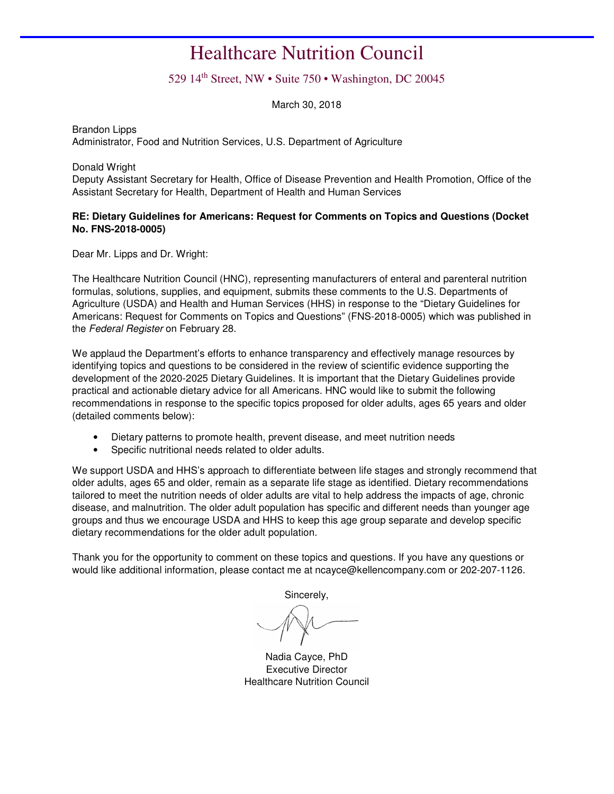### Healthcare Nutrition Council

#### 529 14th Street, NW • Suite 750 • Washington, DC 20045

March 30, 2018

Brandon Lipps Administrator, Food and Nutrition Services, U.S. Department of Agriculture

Donald Wright

Deputy Assistant Secretary for Health, Office of Disease Prevention and Health Promotion, Office of the Assistant Secretary for Health, Department of Health and Human Services

#### **RE: Dietary Guidelines for Americans: Request for Comments on Topics and Questions (Docket No. FNS-2018-0005)**

Dear Mr. Lipps and Dr. Wright:

The Healthcare Nutrition Council (HNC), representing manufacturers of enteral and parenteral nutrition formulas, solutions, supplies, and equipment, submits these comments to the U.S. Departments of Agriculture (USDA) and Health and Human Services (HHS) in response to the "Dietary Guidelines for Americans: Request for Comments on Topics and Questions" (FNS-2018-0005) which was published in the Federal Register on February 28.

We applaud the Department's efforts to enhance transparency and effectively manage resources by identifying topics and questions to be considered in the review of scientific evidence supporting the development of the 2020-2025 Dietary Guidelines. It is important that the Dietary Guidelines provide practical and actionable dietary advice for all Americans. HNC would like to submit the following recommendations in response to the specific topics proposed for older adults, ages 65 years and older (detailed comments below):

- Dietary patterns to promote health, prevent disease, and meet nutrition needs
- Specific nutritional needs related to older adults.

We support USDA and HHS's approach to differentiate between life stages and strongly recommend that older adults, ages 65 and older, remain as a separate life stage as identified. Dietary recommendations tailored to meet the nutrition needs of older adults are vital to help address the impacts of age, chronic disease, and malnutrition. The older adult population has specific and different needs than younger age groups and thus we encourage USDA and HHS to keep this age group separate and develop specific dietary recommendations for the older adult population.

Thank you for the opportunity to comment on these topics and questions. If you have any questions or would like additional information, please contact me at ncayce@kellencompany.com or 202-207-1126.

Sincerely,

Nadia Cayce, PhD Executive Director Healthcare Nutrition Council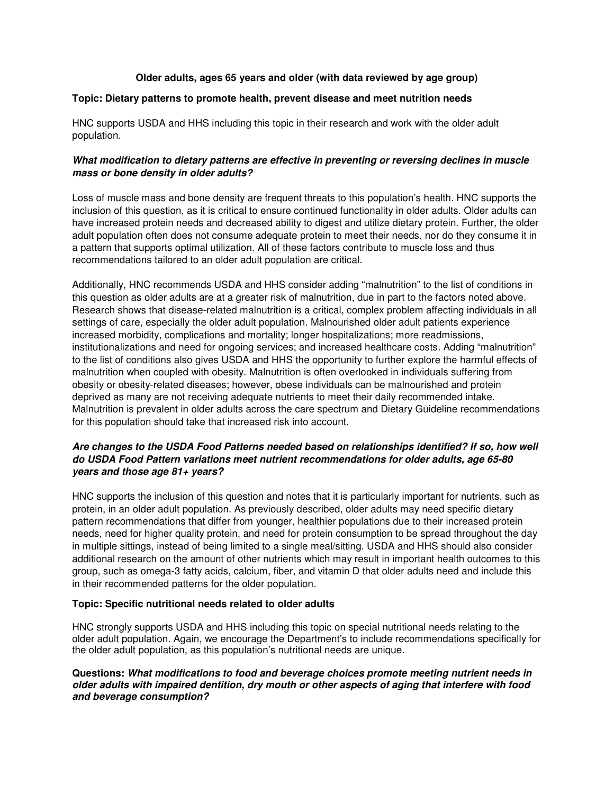#### **Older adults, ages 65 years and older (with data reviewed by age group)**

#### **Topic: Dietary patterns to promote health, prevent disease and meet nutrition needs**

HNC supports USDA and HHS including this topic in their research and work with the older adult population.

#### **What modification to dietary patterns are effective in preventing or reversing declines in muscle mass or bone density in older adults?**

Loss of muscle mass and bone density are frequent threats to this population's health. HNC supports the inclusion of this question, as it is critical to ensure continued functionality in older adults. Older adults can have increased protein needs and decreased ability to digest and utilize dietary protein. Further, the older adult population often does not consume adequate protein to meet their needs, nor do they consume it in a pattern that supports optimal utilization. All of these factors contribute to muscle loss and thus recommendations tailored to an older adult population are critical.

Additionally, HNC recommends USDA and HHS consider adding "malnutrition" to the list of conditions in this question as older adults are at a greater risk of malnutrition, due in part to the factors noted above. Research shows that disease-related malnutrition is a critical, complex problem affecting individuals in all settings of care, especially the older adult population. Malnourished older adult patients experience increased morbidity, complications and mortality; longer hospitalizations; more readmissions, institutionalizations and need for ongoing services; and increased healthcare costs. Adding "malnutrition" to the list of conditions also gives USDA and HHS the opportunity to further explore the harmful effects of malnutrition when coupled with obesity. Malnutrition is often overlooked in individuals suffering from obesity or obesity-related diseases; however, obese individuals can be malnourished and protein deprived as many are not receiving adequate nutrients to meet their daily recommended intake. Malnutrition is prevalent in older adults across the care spectrum and Dietary Guideline recommendations for this population should take that increased risk into account.

#### **Are changes to the USDA Food Patterns needed based on relationships identified? If so, how well do USDA Food Pattern variations meet nutrient recommendations for older adults, age 65-80 years and those age 81+ years?**

HNC supports the inclusion of this question and notes that it is particularly important for nutrients, such as protein, in an older adult population. As previously described, older adults may need specific dietary pattern recommendations that differ from younger, healthier populations due to their increased protein needs, need for higher quality protein, and need for protein consumption to be spread throughout the day in multiple sittings, instead of being limited to a single meal/sitting. USDA and HHS should also consider additional research on the amount of other nutrients which may result in important health outcomes to this group, such as omega-3 fatty acids, calcium, fiber, and vitamin D that older adults need and include this in their recommended patterns for the older population.

#### **Topic: Specific nutritional needs related to older adults**

HNC strongly supports USDA and HHS including this topic on special nutritional needs relating to the older adult population. Again, we encourage the Department's to include recommendations specifically for the older adult population, as this population's nutritional needs are unique.

**Questions: What modifications to food and beverage choices promote meeting nutrient needs in older adults with impaired dentition, dry mouth or other aspects of aging that interfere with food and beverage consumption?**